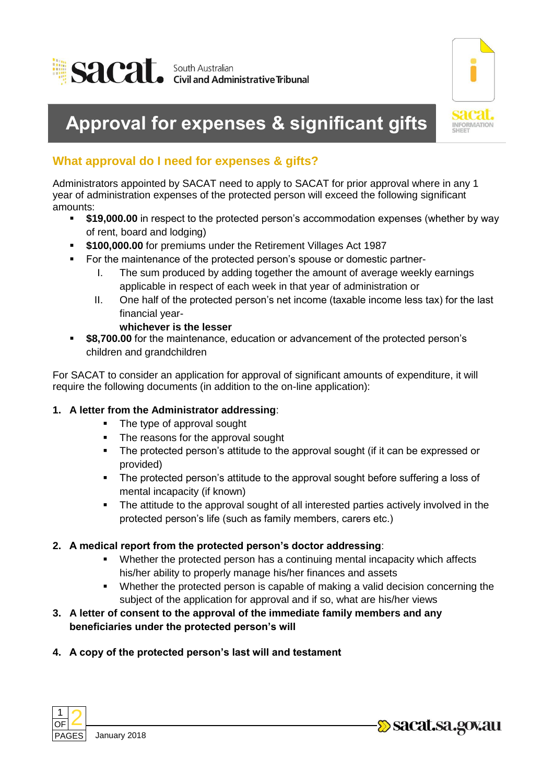



# **Approval for expenses & significant gifts**

## **What approval do I need for expenses & gifts?**

Administrators appointed by SACAT need to apply to SACAT for prior approval where in any 1 year of administration expenses of the protected person will exceed the following significant amounts:

- **\$19,000.00** in respect to the protected person's accommodation expenses (whether by way of rent, board and lodging)
- **\$100,000.00** for premiums under the Retirement Villages Act 1987
- For the maintenance of the protected person's spouse or domestic partner-
	- I. The sum produced by adding together the amount of average weekly earnings applicable in respect of each week in that year of administration or
	- II. One half of the protected person's net income (taxable income less tax) for the last financial year-

#### **whichever is the lesser**

 **\$8,700.00** for the maintenance, education or advancement of the protected person's children and grandchildren

For SACAT to consider an application for approval of significant amounts of expenditure, it will require the following documents (in addition to the on-line application):

#### **1. A letter from the Administrator addressing**:

- The type of approval sought
- The reasons for the approval sought
- The protected person's attitude to the approval sought (if it can be expressed or provided)
- The protected person's attitude to the approval sought before suffering a loss of mental incapacity (if known)
- The attitude to the approval sought of all interested parties actively involved in the protected person's life (such as family members, carers etc.)

### **2. A medical report from the protected person's doctor addressing**:

- Whether the protected person has a continuing mental incapacity which affects his/her ability to properly manage his/her finances and assets
- Whether the protected person is capable of making a valid decision concerning the subject of the application for approval and if so, what are his/her views
- **3. A letter of consent to the approval of the immediate family members and any beneficiaries under the protected person's will**
- **4. A copy of the protected person's last will and testament**